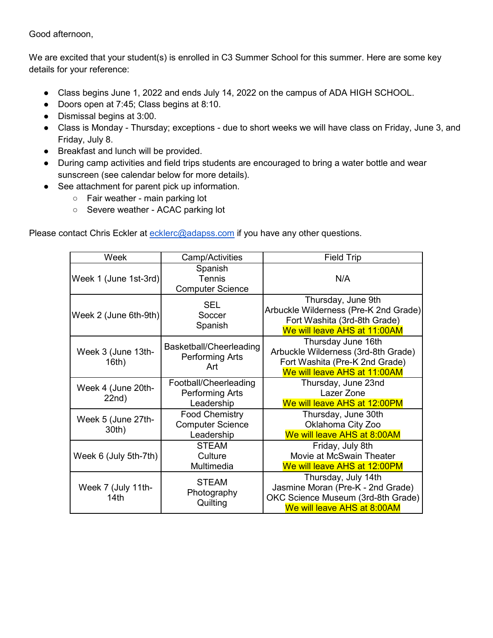Good afternoon,

We are excited that your student(s) is enrolled in C3 Summer School for this summer. Here are some key details for your reference:

- Class begins June 1, 2022 and ends July 14, 2022 on the campus of ADA HIGH SCHOOL.
- Doors open at 7:45; Class begins at 8:10.
- Dismissal begins at 3:00.
- Class is Monday Thursday; exceptions due to short weeks we will have class on Friday, June 3, and Friday, July 8.
- Breakfast and lunch will be provided.
- During camp activities and field trips students are encouraged to bring a water bottle and wear sunscreen (see calendar below for more details).
- See attachment for parent pick up information.
	- Fair weather main parking lot
	- Severe weather ACAC parking lot

Please contact Chris Eckler at [ecklerc@adapss.com](mailto:ecklerc@adapss.com) if you have any other questions.

| Week                        | Camp/Activities                                                | <b>Field Trip</b>                                                                                                             |
|-----------------------------|----------------------------------------------------------------|-------------------------------------------------------------------------------------------------------------------------------|
| Week 1 (June 1st-3rd)       | Spanish<br><b>Tennis</b><br><b>Computer Science</b>            | N/A                                                                                                                           |
| Week 2 (June 6th-9th)       | <b>SEL</b><br>Soccer<br>Spanish                                | Thursday, June 9th<br>Arbuckle Wilderness (Pre-K 2nd Grade)<br>Fort Washita (3rd-8th Grade)<br>We will leave AHS at 11:00AM   |
| Week 3 (June 13th-<br>16th) | Basketball/Cheerleading<br><b>Performing Arts</b><br>Art       | Thursday June 16th<br>Arbuckle Wilderness (3rd-8th Grade)<br>Fort Washita (Pre-K 2nd Grade)<br>We will leave AHS at 11:00AM   |
| Week 4 (June 20th-<br>22nd) | Football/Cheerleading<br><b>Performing Arts</b><br>Leadership  | Thursday, June 23nd<br>Lazer Zone<br>We will leave AHS at 12:00PM                                                             |
| Week 5 (June 27th-<br>30th) | <b>Food Chemistry</b><br><b>Computer Science</b><br>Leadership | Thursday, June 30th<br>Oklahoma City Zoo<br>We will leave AHS at 8:00AM                                                       |
| Week 6 (July 5th-7th)       | <b>STEAM</b><br>Culture<br>Multimedia                          | Friday, July 8th<br>Movie at McSwain Theater<br>We will leave AHS at 12:00PM                                                  |
| Week 7 (July 11th-<br>14th  | <b>STEAM</b><br>Photography<br>Quilting                        | Thursday, July 14th<br>Jasmine Moran (Pre-K - 2nd Grade)<br>OKC Science Museum (3rd-8th Grade)<br>We will leave AHS at 8:00AM |